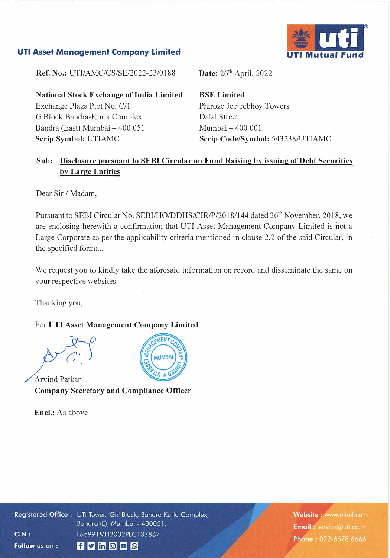# **UTI Mutual Fund**

### **UTI Asset Management Company Limited**

**Ref. No.:** UTI/AMC/CS/SE/2022-23/0188

**National Stock Exchange of India Limited**  Exchange Plaza Plot No. C/1 G Block Bandra-�urla Complex Bandra (East) Mumbai - 400 051. **Scrip Symbol:** UTIAMC

**Date:** 26<sup>th</sup> April, 2022

**BSE Limited**  Phiroze Jeejeebhoy Towers Dalal Street Mumbai - 400 001. **Scrip Code/Symbol:** 543238/UTIAMC

## **Sub: Disclosure pursuant to SEBI Circular on Fund Raising by issuing of Debt Securities by Large Entities**

Dear Sir / Madam,

Pursuant to SEBI Circular No. SEBI/HO/DDHS/CIR/P/2018/144 dated 26<sup>th</sup> November, 2018, we are enclosing herewith a confirmation that UTI Asset Management Company Limited is not a Large Corporate as per the applicability criteria mentioned in clause 2.2 of the said Circular, in the specified format.

We request you to kindly take the aforesaid information on record and disseminate the same on your respective websites.

Thanking you,

## For **UTI Asset Management Company Limited**

Arvind Patkar **Company Secretary and Compliance Officer** 

**Encl.:** As above



Registered Office: UTI Tower, 'Gn' Block, Bandra Kurla Complex, Bandra (E), Mumbai - 400051.  $CIN:$ L65991MH2002PLC137867 Follow us on :  $f$   $\triangleright$  in  $\circ$   $\circ$   $\circ$ 

Website: www.utimf.com Email: service@uti.co.in Phone: 022-6678 6666